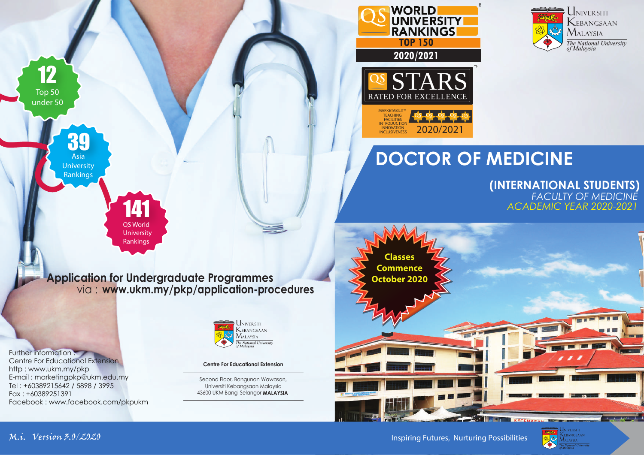



2020/2021

**RANKINGS** 

**UNIVERSITY** 

 **2020/2021**

RATED FOR EXCELLENCE

**WORLD** 

**MARKETABILITY** TEACHING<br>FACILITIES INTRODUCTION INNOVATION<br>INCLUSIVENESS

> *FACULTY OF MEDICINE* **(INTERNATIONAL STUDENTS)** *ACADEMIC YEAR 2020-2021*



**Application for Undergraduate Programmes** via : **www.ukm.my/pkp/application-procedures**

141 QS World **University** Rankings

Further information : Centre For Educational Extension http : www.ukm.my/pkp E-mail : marketingpkp@ukm.edu.my Tel : +60389215642 / 5898 / 3995 Fax : +60389251391 Facebook : www.facebook.com/pkpukm

39 Asia **University** Rankings

12

Top 50 under 50



**Centre For Educational Extension**

Second Floor, Bangunan Wawasan, Universiti Kebangsaan Malaysia 43600 UKM Bangi Selangor **MALAYSIA**

Inspiring Futures, Nurturing Possibilities